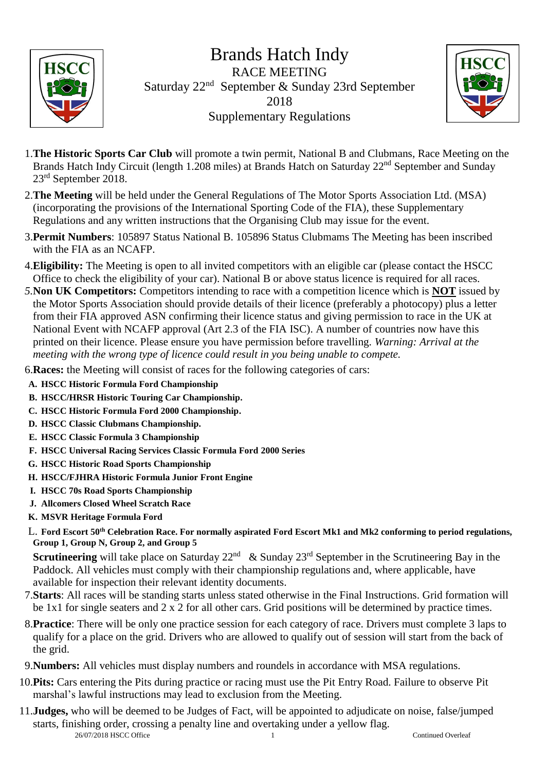

Brands Hatch Indy RACE MEETING Saturday 22nd September & Sunday 23rd September 2018 Supplementary Regulations



- 1.**The Historic Sports Car Club** will promote a twin permit, National B and Clubmans, Race Meeting on the Brands Hatch Indy Circuit (length 1.208 miles) at Brands Hatch on Saturday 22<sup>nd</sup> September and Sunday 23rd September 2018.
- 2.**The Meeting** will be held under the General Regulations of The Motor Sports Association Ltd. (MSA) (incorporating the provisions of the International Sporting Code of the FIA), these Supplementary Regulations and any written instructions that the Organising Club may issue for the event.
- 3.**Permit Numbers**: 105897 Status National B. 105896 Status Clubmams The Meeting has been inscribed with the FIA as an NCAFP.
- 4.**Eligibility:** The Meeting is open to all invited competitors with an eligible car (please contact the HSCC Office to check the eligibility of your car). National B or above status licence is required for all races.
- *5.***Non UK Competitors:** Competitors intending to race with a competition licence which is **NOT** issued by the Motor Sports Association should provide details of their licence (preferably a photocopy) plus a letter from their FIA approved ASN confirming their licence status and giving permission to race in the UK at National Event with NCAFP approval (Art 2.3 of the FIA ISC). A number of countries now have this printed on their licence. Please ensure you have permission before travelling. *Warning: Arrival at the meeting with the wrong type of licence could result in you being unable to compete.*
- 6.**Races:** the Meeting will consist of races for the following categories of cars:
- **A. HSCC Historic Formula Ford Championship**
- **B. HSCC/HRSR Historic Touring Car Championship.**
- **C. HSCC Historic Formula Ford 2000 Championship.**
- **D. HSCC Classic Clubmans Championship.**
- **E. HSCC Classic Formula 3 Championship**
- **F. HSCC Universal Racing Services Classic Formula Ford 2000 Series**
- **G. HSCC Historic Road Sports Championship**
- **H. HSCC/FJHRA Historic Formula Junior Front Engine**
- **I. HSCC 70s Road Sports Championship**
- **J. Allcomers Closed Wheel Scratch Race**
- **K. MSVR Heritage Formula Ford**
- L. **Ford Escort 50th Celebration Race. For normally aspirated Ford Escort Mk1 and Mk2 conforming to period regulations, Group 1, Group N, Group 2, and Group 5**

**Scrutineering** will take place on Saturday  $22^{nd}$  & Sunday  $23^{rd}$  September in the Scrutineering Bay in the Paddock. All vehicles must comply with their championship regulations and, where applicable, have available for inspection their relevant identity documents.

- 7.**Starts**: All races will be standing starts unless stated otherwise in the Final Instructions. Grid formation will be 1x1 for single seaters and 2 x 2 for all other cars. Grid positions will be determined by practice times.
- 8.**Practice**: There will be only one practice session for each category of race. Drivers must complete 3 laps to qualify for a place on the grid. Drivers who are allowed to qualify out of session will start from the back of the grid.
- 9.**Numbers:** All vehicles must display numbers and roundels in accordance with MSA regulations.
- 10.**Pits:** Cars entering the Pits during practice or racing must use the Pit Entry Road. Failure to observe Pit marshal's lawful instructions may lead to exclusion from the Meeting.
- 26/07/2018 HSCC Office 1 Continued Overleaf 11.**Judges,** who will be deemed to be Judges of Fact, will be appointed to adjudicate on noise, false/jumped starts, finishing order, crossing a penalty line and overtaking under a yellow flag.